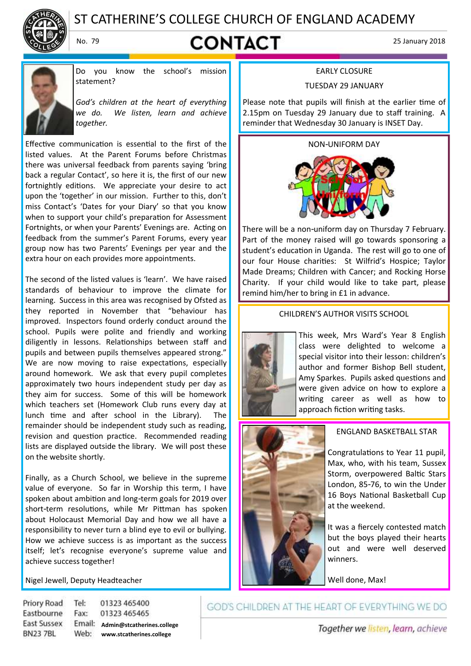

# ST CATHERINE'S COLLEGE CHURCH OF ENGLAND ACADEMY

# No. 79 **CONTACT** 25 January 2018



Do you know the school's mission statement?

*God's children at the heart of everything we do. We listen, learn and achieve together.*

Effective communication is essential to the first of the listed values. At the Parent Forums before Christmas there was universal feedback from parents saying 'bring back a regular Contact', so here it is, the first of our new fortnightly editions. We appreciate your desire to act upon the 'together' in our mission. Further to this, don't miss Contact's 'Dates for your Diary' so that you know when to support your child's preparation for Assessment Fortnights, or when your Parents' Evenings are. Acting on feedback from the summer's Parent Forums, every year group now has two Parents' Evenings per year and the extra hour on each provides more appointments.

The second of the listed values is 'learn'. We have raised standards of behaviour to improve the climate for learning. Success in this area was recognised by Ofsted as they reported in November that "behaviour has improved. Inspectors found orderly conduct around the school. Pupils were polite and friendly and working diligently in lessons. Relationships between staff and pupils and between pupils themselves appeared strong." We are now moving to raise expectations, especially around homework. We ask that every pupil completes approximately two hours independent study per day as they aim for success. Some of this will be homework which teachers set (Homework Club runs every day at lunch time and after school in the Library). The remainder should be independent study such as reading, revision and question practice. Recommended reading lists are displayed outside the library. We will post these on the website shortly.

Finally, as a Church School, we believe in the supreme value of everyone. So far in Worship this term, I have spoken about ambition and long-term goals for 2019 over short-term resolutions, while Mr Pittman has spoken about Holocaust Memorial Day and how we all have a responsibility to never turn a blind eye to evil or bullying. How we achieve success is as important as the success itself; let's recognise everyone's supreme value and achieve success together!

Nigel Jewell, Deputy Headteacher

Priory Road Tel: 01323 465400 Eastbourne Fax: 01323 465465 **East Sussex Admin@stcatherines.college BN237BL www.stcatherines.college**

#### EARLY CLOSURE

#### TUESDAY 29 JANUARY

Please note that pupils will finish at the earlier time of 2.15pm on Tuesday 29 January due to staff training. A reminder that Wednesday 30 January is INSET Day.

NON-UNIFORM DAY



There will be a non-uniform day on Thursday 7 February. Part of the money raised will go towards sponsoring a student's education in Uganda. The rest will go to one of our four House charities: St Wilfrid's Hospice; Taylor Made Dreams; Children with Cancer; and Rocking Horse Charity. If your child would like to take part, please remind him/her to bring in £1 in advance.

CHILDREN'S AUTHOR VISITS SCHOOL



This week, Mrs Ward's Year 8 English class were delighted to welcome a special visitor into their lesson: children's author and former Bishop Bell student, Amy Sparkes. Pupils asked questions and were given advice on how to explore a writing career as well as how to approach fiction writing tasks.



#### ENGLAND BASKETBALL STAR

Congratulations to Year 11 pupil, Max, who, with his team, Sussex Storm, overpowered Baltic Stars London, 85-76, to win the Under 16 Boys National Basketball Cup at the weekend.

It was a fiercely contested match but the boys played their hearts out and were well deserved winners.

Well done, Max!

GOD'S CHILDREN AT THE HEART OF EVERYTHING WE DO

Together we listen, learn, achieve